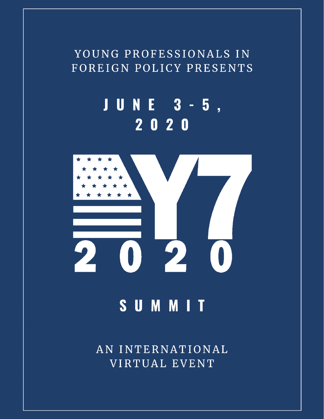# YOUNG PROFESSIONALS IN FOREIGN POLICY PRESENTS

# NE 3-5, JU  $2020$



# **SUMMIT**

AN INTERNATIONAL VIRTUAL EVENT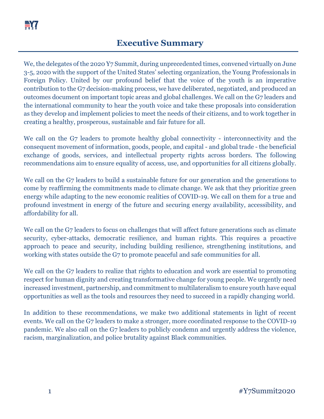We, the delegates of the 2020 Y7 Summit, during unprecedented times, convened virtually on June 3-5, 2020 with the support of the United States' selecting organization, the Young Professionals in Foreign Policy. United by our profound belief that the voice of the youth is an imperative contribution to the G7 decision-making process, we have deliberated, negotiated, and produced an outcomes document on important topic areas and global challenges. We call on the G7 leaders and the international community to hear the youth voice and take these proposals into consideration as they develop and implement policies to meet the needs of their citizens, and to work together in creating a healthy, prosperous, sustainable and fair future for all.

We call on the G7 leaders to promote healthy global connectivity - interconnectivity and the consequent movement of information, goods, people, and capital - and global trade - the beneficial exchange of goods, services, and intellectual property rights across borders. The following recommendations aim to ensure equality of access, use, and opportunities for all citizens globally.

We call on the G7 leaders to build a sustainable future for our generation and the generations to come by reaffirming the commitments made to climate change. We ask that they prioritize green energy while adapting to the new economic realities of COVID-19. We call on them for a true and profound investment in energy of the future and securing energy availability, accessibility, and affordability for all.

We call on the G7 leaders to focus on challenges that will affect future generations such as climate security, cyber-attacks, democratic resilience, and human rights. This requires a proactive approach to peace and security, including building resilience, strengthening institutions, and working with states outside the G7 to promote peaceful and safe communities for all.

We call on the G7 leaders to realize that rights to education and work are essential to promoting respect for human dignity and creating transformative change for young people. We urgently need increased investment, partnership, and commitment to multilateralism to ensure youth have equal opportunities as well as the tools and resources they need to succeed in a rapidly changing world.

In addition to these recommendations, we make two additional statements in light of recent events. We call on the G7 leaders to make a stronger, more coordinated response to the COVID-19 pandemic. We also call on the G7 leaders to publicly condemn and urgently address the violence, racism, marginalization, and police brutality against Black communities.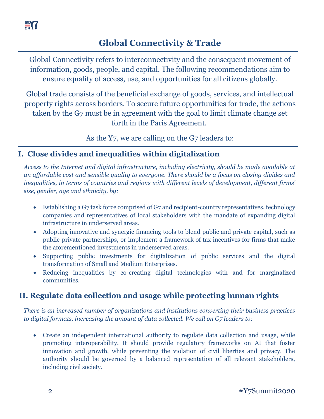

# **Global Connectivity & Trade**

Global Connectivity refers to interconnectivity and the consequent movement of information, goods, people, and capital. The following recommendations aim to ensure equality of access, use, and opportunities for all citizens globally.

Global trade consists of the beneficial exchange of goods, services, and intellectual property rights across borders. To secure future opportunities for trade, the actions taken by the G7 must be in agreement with the goal to limit climate change set forth in the Paris Agreement.

As the Y7, we are calling on the G7 leaders to:

#### **I. Close divides and inequalities within digitalization**

*Access to the Internet and digital infrastructure, including electricity, should be made available at an affordable cost and sensible quality to everyone. There should be a focus on closing divides and inequalities, in terms of countries and regions with different levels of development, different firms' size, gender, age and ethnicity, by:*

- Establishing a G7 task force comprised of G7 and recipient-country representatives, technology companies and representatives of local stakeholders with the mandate of expanding digital infrastructure in underserved areas.
- Adopting innovative and synergic financing tools to blend public and private capital, such as public-private partnerships, or implement a framework of tax incentives for firms that make the aforementioned investments in underserved areas.
- Supporting public investments for digitalization of public services and the digital transformation of Small and Medium Enterprises.
- Reducing inequalities by co-creating digital technologies with and for marginalized communities.

## **II. Regulate data collection and usage while protecting human rights**

*There is an increased number of organizations and institutions converting their business practices to digital formats, increasing the amount of data collected. We call on G7 leaders to:*

• Create an independent international authority to regulate data collection and usage, while promoting interoperability. It should provide regulatory frameworks on AI that foster innovation and growth, while preventing the violation of civil liberties and privacy. The authority should be governed by a balanced representation of all relevant stakeholders, including civil society.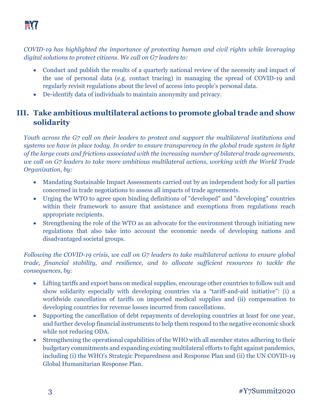*COVID-19 has highlighted the importance of protecting human and civil rights while leveraging digital solutions to protect citizens. We call on G7 leaders to:*

- Conduct and publish the results of a quarterly national review of the necessity and impact of the use of personal data (e.g. contact tracing) in managing the spread of COVID-19 and regularly revisit regulations about the level of access into people's personal data.
- De-identify data of individuals to maintain anonymity and privacy.

# **III. Take ambitious multilateral actions to promote global trade and show solidarity**

*Youth across the G7 call on their leaders to protect and support the multilateral institutions and systems we have in place today. In order to ensure transparency in the global trade system in light of the large costs and frictions associated with the increasing number of bilateral trade agreements, we call on G7 leaders to take more ambitious multilateral actions, working with the World Trade Organization, by:*

- Mandating Sustainable Impact Assessments carried out by an independent body for all parties concerned in trade negotiations to assess all impacts of trade agreements.
- Urging the WTO to agree upon binding definitions of "developed" and "developing" countries within their framework to assure that assistance and exemptions from regulations reach appropriate recipients.
- Strengthening the role of the WTO as an advocate for the environment through initiating new regulations that also take into account the economic needs of developing nations and disadvantaged societal groups.

*Following the COVID-19 crisis, we call on G7 leaders to take multilateral actions to ensure global trade, financial stability, and resilience, and to allocate sufficient resources to tackle the consequences, by:*

- Lifting tariffs and export bans on medical supplies, encourage other countries to follow suit and show solidarity especially with developing countries via a "tariff-and-aid initiative": (i) a worldwide cancellation of tariffs on imported medical supplies and (ii) compensation to developing countries for revenue losses incurred from cancellations.
- Supporting the cancellation of debt repayments of developing countries at least for one year, and further develop financial instruments to help them respond to the negative economic shock while not reducing ODA.
- Strengthening the operational capabilities of the WHO with all member states adhering to their budgetary commitments and expanding existing multilateral efforts to fight against pandemics, including (i) the WHO's Strategic Preparedness and Response Plan and (ii) the UN COVID-19 Global Humanitarian Response Plan.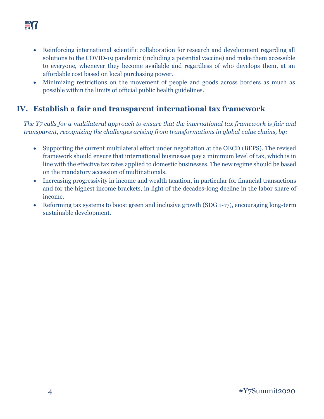

- Reinforcing international scientific collaboration for research and development regarding all solutions to the COVID-19 pandemic (including a potential vaccine) and make them accessible to everyone, whenever they become available and regardless of who develops them, at an affordable cost based on local purchasing power.
- Minimizing restrictions on the movement of people and goods across borders as much as possible within the limits of official public health guidelines.

#### **IV. Establish a fair and transparent international tax framework**

*The Y7 calls for a multilateral approach to ensure that the international tax framework is fair and transparent, recognizing the challenges arising from transformations in global value chains, by:*

- Supporting the current multilateral effort under negotiation at the OECD (BEPS). The revised framework should ensure that international businesses pay a minimum level of tax, which is in line with the effective tax rates applied to domestic businesses. The new regime should be based on the mandatory accession of multinationals.
- Increasing progressivity in income and wealth taxation, in particular for financial transactions and for the highest income brackets, in light of the decades-long decline in the labor share of income.
- Reforming tax systems to boost green and inclusive growth (SDG 1-17), encouraging long-term sustainable development.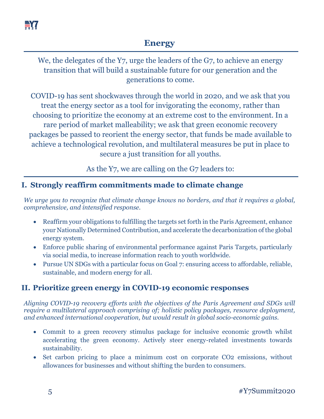

## **Energy**

We, the delegates of the Y7, urge the leaders of the G7, to achieve an energy transition that will build a sustainable future for our generation and the generations to come.

COVID-19 has sent shockwaves through the world in 2020, and we ask that you treat the energy sector as a tool for invigorating the economy, rather than choosing to prioritize the economy at an extreme cost to the environment. In a rare period of market malleability; we ask that green economic recovery packages be passed to reorient the energy sector, that funds be made available to achieve a technological revolution, and multilateral measures be put in place to secure a just transition for all youths.

As the Y7, we are calling on the G7 leaders to:

#### **I. Strongly reaffirm commitments made to climate change**

*We urge you to recognize that climate change knows no borders, and that it requires a global, comprehensive, and intensified response.*

- Reaffirm your obligations to fulfilling the targets set forth in the Paris Agreement, enhance your Nationally Determined Contribution, and accelerate the decarbonization of the global energy system.
- Enforce public sharing of environmental performance against Paris Targets, particularly via social media, to increase information reach to youth worldwide.
- Pursue UN SDGs with a particular focus on Goal 7: ensuring access to affordable, reliable, sustainable, and modern energy for all.

## **II. Prioritize green energy in COVID-19 economic responses**

*Aligning COVID-19 recovery efforts with the objectives of the Paris Agreement and SDGs will require a multilateral approach comprising of; holistic policy packages, resource deployment, and enhanced international cooperation, but would result in global socio-economic gains.*

- Commit to a green recovery stimulus package for inclusive economic growth whilst accelerating the green economy. Actively steer energy-related investments towards sustainability.
- Set carbon pricing to place a minimum cost on corporate CO2 emissions, without allowances for businesses and without shifting the burden to consumers.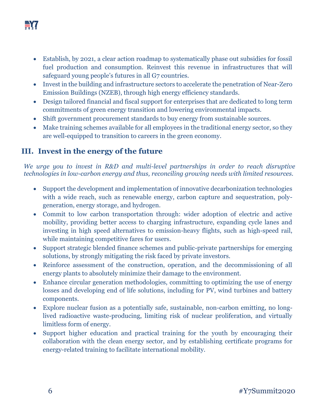

- Establish, by 2021, a clear action roadmap to systematically phase out subsidies for fossil fuel production and consumption. Reinvest this revenue in infrastructures that will safeguard young people's futures in all G7 countries.
- Invest in the building and infrastructure sectors to accelerate the penetration of Near-Zero Emission Buildings (NZEB), through high energy efficiency standards.
- Design tailored financial and fiscal support for enterprises that are dedicated to long term commitments of green energy transition and lowering environmental impacts.
- Shift government procurement standards to buy energy from sustainable sources.
- Make training schemes available for all employees in the traditional energy sector, so they are well-equipped to transition to careers in the green economy.

#### **III. Invest in the energy of the future**

*We urge you to invest in R&D and multi-level partnerships in order to reach disruptive technologies in low-carbon energy and thus, reconciling growing needs with limited resources.*

- Support the development and implementation of innovative decarbonization technologies with a wide reach, such as renewable energy, carbon capture and sequestration, polygeneration, energy storage, and hydrogen.
- Commit to low carbon transportation through: wider adoption of electric and active mobility, providing better access to charging infrastructure, expanding cycle lanes and investing in high speed alternatives to emission-heavy flights, such as high-speed rail, while maintaining competitive fares for users.
- Support strategic blended finance schemes and public-private partnerships for emerging solutions, by strongly mitigating the risk faced by private investors.
- Reinforce assessment of the construction, operation, and the decommissioning of all energy plants to absolutely minimize their damage to the environment.
- Enhance circular generation methodologies, committing to optimizing the use of energy losses and developing end of life solutions, including for PV, wind turbines and battery components.
- Explore nuclear fusion as a potentially safe, sustainable, non-carbon emitting, no longlived radioactive waste-producing, limiting risk of nuclear proliferation, and virtually limitless form of energy.
- Support higher education and practical training for the youth by encouraging their collaboration with the clean energy sector, and by establishing certificate programs for energy-related training to facilitate international mobility.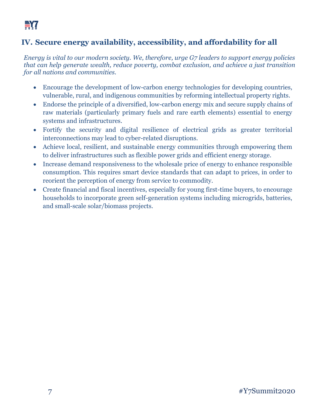#### **IV. Secure energy availability, accessibility, and affordability for all**

*Energy is vital to our modern society. We, therefore, urge G7 leaders to support energy policies that can help generate wealth, reduce poverty, combat exclusion, and achieve a just transition for all nations and communities.*

- Encourage the development of low-carbon energy technologies for developing countries, vulnerable, rural, and indigenous communities by reforming intellectual property rights.
- Endorse the principle of a diversified, low-carbon energy mix and secure supply chains of raw materials (particularly primary fuels and rare earth elements) essential to energy systems and infrastructures.
- Fortify the security and digital resilience of electrical grids as greater territorial interconnections may lead to cyber-related disruptions.
- Achieve local, resilient, and sustainable energy communities through empowering them to deliver infrastructures such as flexible power grids and efficient energy storage.
- Increase demand responsiveness to the wholesale price of energy to enhance responsible consumption. This requires smart device standards that can adapt to prices, in order to reorient the perception of energy from service to commodity.
- Create financial and fiscal incentives, especially for young first-time buyers, to encourage households to incorporate green self-generation systems including microgrids, batteries, and small-scale solar/biomass projects.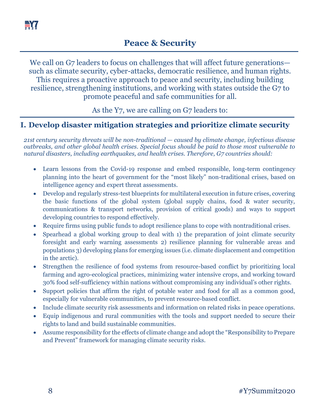

We call on G7 leaders to focus on challenges that will affect future generations such as climate security, cyber-attacks, democratic resilience, and human rights. This requires a proactive approach to peace and security, including building resilience, strengthening institutions, and working with states outside the G7 to promote peaceful and safe communities for all.

As the Y7, we are calling on G7 leaders to:

#### **I. Develop disaster mitigation strategies and prioritize climate security**

*21st century security threats will be non-traditional — caused by climate change, infectious disease outbreaks, and other global health crises. Special focus should be paid to those most vulnerable to natural disasters, including earthquakes, and health crises. Therefore, G7 countries should:*

- Learn lessons from the Covid-19 response and embed responsible, long-term contingency planning into the heart of government for the "most likely" non-traditional crises, based on intelligence agency and expert threat assessments.
- Develop and regularly stress-test blueprints for multilateral execution in future crises, covering the basic functions of the global system (global supply chains, food & water security, communications & transport networks, provision of critical goods) and ways to support developing countries to respond effectively.
- Require firms using public funds to adopt resilience plans to cope with nontraditional crises.
- Spearhead a global working group to deal with 1) the preparation of joint climate security foresight and early warning assessments 2) resilience planning for vulnerable areas and populations 3) developing plans for emerging issues (i.e. climate displacement and competition in the arctic).
- Strengthen the resilience of food systems from resource-based conflict by prioritizing local farming and agro-ecological practices, minimizing water intensive crops, and working toward 30% food self-sufficiency within nations without compromising any individual's other rights.
- Support policies that affirm the right of potable water and food for all as a common good, especially for vulnerable communities, to prevent resource-based conflict.
- Include climate security risk assessments and information on related risks in peace operations.
- Equip indigenous and rural communities with the tools and support needed to secure their rights to land and build sustainable communities.
- Assume responsibility for the effects of climate change and adopt the "Responsibility to Prepare and Prevent" framework for managing climate security risks.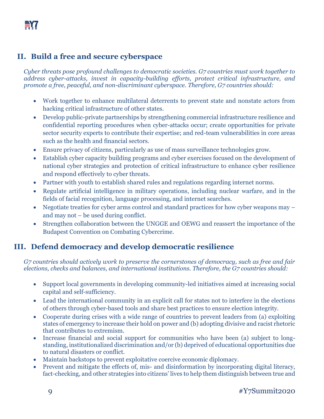#### **II. Build a free and secure cyberspace**

*Cyber threats pose profound challenges to democratic societies. G7 countries must work together to address cyber-attacks, invest in capacity-building efforts, protect critical infrastructure, and promote a free, peaceful, and non-discriminant cyberspace. Therefore, G7 countries should:*

- Work together to enhance multilateral deterrents to prevent state and nonstate actors from hacking critical infrastructure of other states.
- Develop public-private partnerships by strengthening commercial infrastructure resilience and confidential reporting procedures when cyber-attacks occur; create opportunities for private sector security experts to contribute their expertise; and red-team vulnerabilities in core areas such as the health and financial sectors.
- Ensure privacy of citizens, particularly as use of mass surveillance technologies grow.
- Establish cyber capacity building programs and cyber exercises focused on the development of national cyber strategies and protection of critical infrastructure to enhance cyber resilience and respond effectively to cyber threats.
- Partner with youth to establish shared rules and regulations regarding internet norms.
- Regulate artificial intelligence in military operations, including nuclear warfare, and in the fields of facial recognition, language processing, and internet searches.
- Negotiate treaties for cyber arms control and standard practices for how cyber weapons may and may not – be used during conflict.
- Strengthen collaboration between the UNGGE and OEWG and reassert the importance of the Budapest Convention on Combating Cybercrime.

#### **III. Defend democracy and develop democratic resilience**

*G7 countries should actively work to preserve the cornerstones of democracy, such as free and fair elections, checks and balances, and international institutions. Therefore, the G7 countries should:*

- Support local governments in developing community-led initiatives aimed at increasing social capital and self-sufficiency.
- Lead the international community in an explicit call for states not to interfere in the elections of others through cyber-based tools and share best practices to ensure election integrity.
- Cooperate during crises with a wide range of countries to prevent leaders from (a) exploiting states of emergency to increase their hold on power and (b) adopting divisive and racist rhetoric that contributes to extremism.
- Increase financial and social support for communities who have been (a) subject to longstanding, institutionalized discrimination and/or (b) deprived of educational opportunities due to natural disasters or conflict.
- Maintain backstops to prevent exploitative coercive economic diplomacy.
- Prevent and mitigate the effects of, mis- and disinformation by incorporating digital literacy, fact-checking, and other strategies into citizens' lives to help them distinguish between true and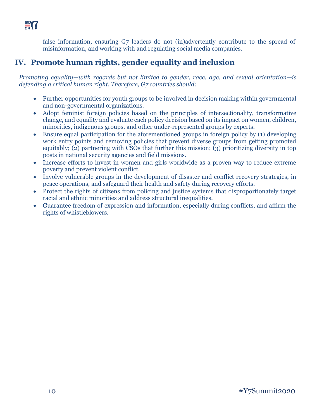

false information, ensuring G7 leaders do not (in)advertently contribute to the spread of misinformation, and working with and regulating social media companies.

#### **IV. Promote human rights, gender equality and inclusion**

*Promoting equality—with regards but not limited to gender, race, age, and sexual orientation—is defending a critical human right. Therefore, G7 countries should:*

- Further opportunities for youth groups to be involved in decision making within governmental and non-governmental organizations.
- Adopt feminist foreign policies based on the principles of intersectionality, transformative change, and equality and evaluate each policy decision based on its impact on women, children, minorities, indigenous groups, and other under-represented groups by experts.
- Ensure equal participation for the aforementioned groups in foreign policy by (1) developing work entry points and removing policies that prevent diverse groups from getting promoted equitably; (2) partnering with CSOs that further this mission; (3) prioritizing diversity in top posts in national security agencies and field missions.
- Increase efforts to invest in women and girls worldwide as a proven way to reduce extreme poverty and prevent violent conflict.
- Involve vulnerable groups in the development of disaster and conflict recovery strategies, in peace operations, and safeguard their health and safety during recovery efforts.
- Protect the rights of citizens from policing and justice systems that disproportionately target racial and ethnic minorities and address structural inequalities.
- Guarantee freedom of expression and information, especially during conflicts, and affirm the rights of whistleblowers.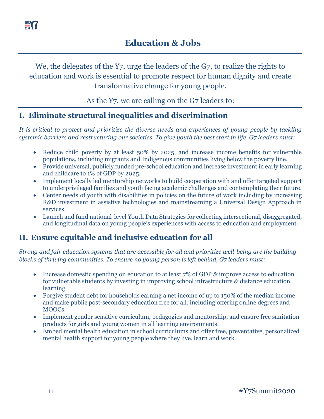

# We, the delegates of the Y7, urge the leaders of the G7, to realize the rights to education and work is essential to promote respect for human dignity and create transformative change for young people.

As the Y7, we are calling on the G7 leaders to:

#### **I. Eliminate structural inequalities and discrimination**

*It is critical to protect and prioritize the diverse needs and experiences of young people by tackling systemic barriers and restructuring our societies. To give youth the best start in life, G7 leaders must:*

- Reduce child poverty by at least 50% by 2025, and increase income benefits for vulnerable populations, including migrants and Indigenous communities living below the poverty line.
- Provide universal, publicly funded pre-school education and increase investment in early learning and childcare to 1% of GDP by 2025.
- Implement locally led mentorship networks to build cooperation with and offer targeted support to underprivileged families and youth facing academic challenges and contemplating their future.
- Center needs of youth with disabilities in policies on the future of work including by increasing R&D investment in assistive technologies and mainstreaming a Universal Design Approach in services.
- Launch and fund national-level Youth Data Strategies for collecting intersectional, disaggregated, and longitudinal data on young people's experiences with access to education and employment.

#### **II. Ensure equitable and inclusive education for all**

*Strong and fair education systems that are accessible for all and prioritize well-being are the building blocks of thriving communities. To ensure no young person is left behind, G7 leaders must:*

- Increase domestic spending on education to at least 7% of GDP & improve access to education for vulnerable students by investing in improving school infrastructure & distance education learning.
- Forgive student debt for households earning a net income of up to 150% of the median income and make public post-secondary education free for all, including offering online degrees and MOOCs.
- Implement gender sensitive curriculum, pedagogies and mentorship, and ensure free sanitation products for girls and young women in all learning environments.
- Embed mental health education in school curriculums and offer free, preventative, personalized mental health support for young people where they live, learn and work.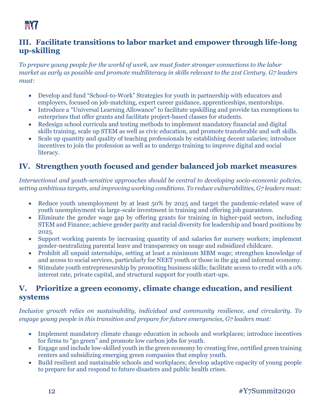#### **III. Facilitate transitions to labor market and empower through life-long up-skilling**

*To prepare young people for the world of work, we must foster stronger connections to the labor market as early as possible and promote multiliteracy in skills relevant to the 21st Century. G7 leaders must:*

- Develop and fund "School-to-Work" Strategies for youth in partnership with educators and employers, focused on job-matching, expert career guidance, apprenticeships, mentorships.
- Introduce a "Universal Learning Allowance" to facilitate upskilling and provide tax exemptions to enterprises that offer grants and facilitate project-based classes for students.
- Redesign school curricula and testing methods to implement mandatory financial and digital skills training, scale up STEM as well as civic education, and promote transferable and soft skills.
- Scale up quantity and quality of teaching professionals by establishing decent salaries; introduce incentives to join the profession as well as to undergo training to improve digital and social literacy.

# **IV. Strengthen youth focused and gender balanced job market measures**

*Intersectional and youth-sensitive approaches should be central to developing socio-economic policies, setting ambitious targets, and improving working conditions. To reduce vulnerabilities, G7 leaders must:*

- Reduce youth unemployment by at least 50% by 2025 and target the pandemic-related wave of youth unemployment via large-scale investment in training and offering job guarantees.
- Eliminate the gender wage gap by offering grants for training in higher-paid sectors, including STEM and Finance; achieve gender parity and racial diversity for leadership and board positions by 2025.
- Support working parents by increasing quantity of and salaries for nursery workers; implement gender-neutralizing parental leave and transparency on usage and subsidized childcare.
- Prohibit all unpaid internships, setting at least a minimum MBM wage; strengthen knowledge of and access to social services, particularly for NEET youth or those in the gig and informal economy.
- Stimulate youth entrepreneurship by promoting business skills; facilitate access to credit with a 0% interest rate, private capital, and structural support for youth start-ups.

#### **V. Prioritize a green economy, climate change education, and resilient systems**

*Inclusive growth relies on sustainability, individual and community resilience, and circularity. To engage young people in this transition and prepare for future emergencies, G7 leaders must:*

- Implement mandatory climate change education in schools and workplaces; introduce incentives for firms to "go green" and promote low carbon jobs for youth.
- Engage and include low-skilled youth in the green economy by creating free, certified green training centers and subsidizing emerging green companies that employ youth.
- Build resilient and sustainable schools and workplaces; develop adaptive capacity of young people to prepare for and respond to future disasters and public health crises*.*